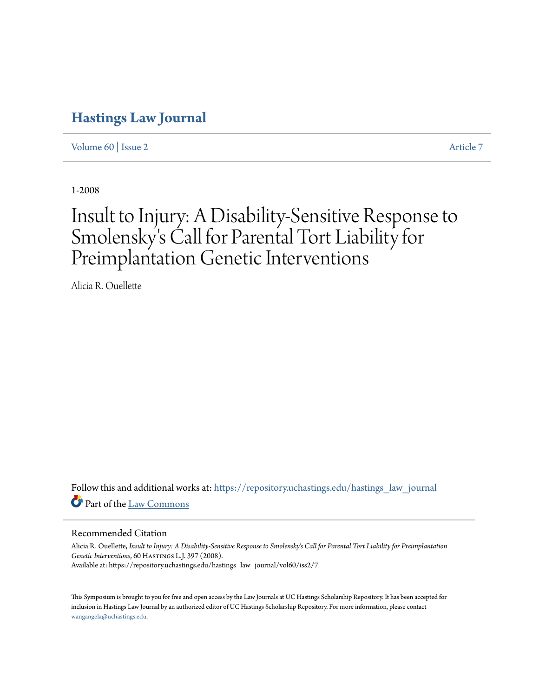# **[Hastings Law Journal](https://repository.uchastings.edu/hastings_law_journal?utm_source=repository.uchastings.edu%2Fhastings_law_journal%2Fvol60%2Fiss2%2F7&utm_medium=PDF&utm_campaign=PDFCoverPages)**

[Volume 60](https://repository.uchastings.edu/hastings_law_journal/vol60?utm_source=repository.uchastings.edu%2Fhastings_law_journal%2Fvol60%2Fiss2%2F7&utm_medium=PDF&utm_campaign=PDFCoverPages) | [Issue 2](https://repository.uchastings.edu/hastings_law_journal/vol60/iss2?utm_source=repository.uchastings.edu%2Fhastings_law_journal%2Fvol60%2Fiss2%2F7&utm_medium=PDF&utm_campaign=PDFCoverPages) [Article 7](https://repository.uchastings.edu/hastings_law_journal/vol60/iss2/7?utm_source=repository.uchastings.edu%2Fhastings_law_journal%2Fvol60%2Fiss2%2F7&utm_medium=PDF&utm_campaign=PDFCoverPages)

1-2008

# Insult to Injury: A Disability-Sensitive Response to Smolensky's Call for Parental Tort Liability for Preimplantation Genetic Interventions

Alicia R. Ouellette

Follow this and additional works at: [https://repository.uchastings.edu/hastings\\_law\\_journal](https://repository.uchastings.edu/hastings_law_journal?utm_source=repository.uchastings.edu%2Fhastings_law_journal%2Fvol60%2Fiss2%2F7&utm_medium=PDF&utm_campaign=PDFCoverPages) Part of the [Law Commons](http://network.bepress.com/hgg/discipline/578?utm_source=repository.uchastings.edu%2Fhastings_law_journal%2Fvol60%2Fiss2%2F7&utm_medium=PDF&utm_campaign=PDFCoverPages)

## Recommended Citation

Alicia R. Ouellette, *Insult to Injury: A Disability-Sensitive Response to Smolensky's Call for Parental Tort Liability for Preimplantation* Genetic Interventions, 60 HASTINGS L.J. 397 (2008). Available at: https://repository.uchastings.edu/hastings\_law\_journal/vol60/iss2/7

This Symposium is brought to you for free and open access by the Law Journals at UC Hastings Scholarship Repository. It has been accepted for inclusion in Hastings Law Journal by an authorized editor of UC Hastings Scholarship Repository. For more information, please contact [wangangela@uchastings.edu](mailto:wangangela@uchastings.edu).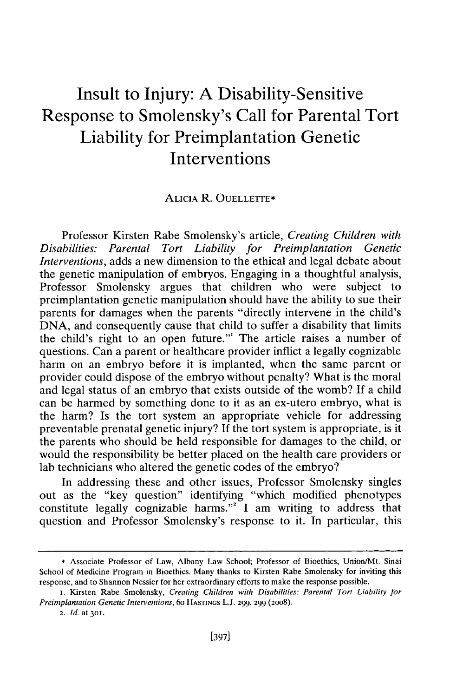# Insult to Injury: **A** Disability-Sensitive Response to Smolensky's Call for Parental Tort Liability for Preimplantation Genetic Interventions

#### **ALICIA** R. OUELLErrE\*

Professor Kirsten Rabe Smolensky's article, *Creating Children with Disabilities: Parental Tort Liability for Preimplantation Genetic Interventions,* adds a new dimension to the ethical and legal debate about the genetic manipulation of embryos. Engaging in a thoughtful analysis, Professor Smolensky argues that children who were subject to preimplantation genetic manipulation should have the ability to sue their parents for damages when the parents "directly intervene in the child's DNA, and consequently cause that child to suffer a disability that limits the child's right to an open future."' The article raises a number of questions. Can a parent or healthcare provider inflict a legally cognizable harm on an embryo before it is implanted, when the same parent or provider could dispose of the embryo without penalty? What is the moral and legal status of an embryo that exists outside of the womb? If a child can be harmed by something done to it as an ex-utero embryo, what is the harm? Is the tort system an appropriate vehicle for addressing preventable prenatal genetic injury? If the tort system is appropriate, is it the parents who should be held responsible for damages to the child, or would the responsibility be better placed on the health care providers or lab technicians who altered the genetic codes of the embryo?

In addressing these and other issues, Professor Smolensky singles out as the "key question" identifying "which modified phenotypes constitute legally cognizable harms."<sup>2</sup> I am writing to address that question and Professor Smolensky's response to it. In particular, this

<sup>\*</sup> Associate Professor of Law, Albany Law School; Professor of Bioethics, Union/Mt. Sinai School of Medicine Program in Bioethics. Many thanks to Kirsten Rabe Smolensky for inviting this response, and to Shannon Nessier for her extraordinary efforts to make the response possible.

i. Kirsten Rabe Smolensky, *Creating Children with Disabilities: Parental Tort Liability for Preimplantation Genetic Interventions,* 6o HASTINGS **L.J.** 299, 299 (2008).

<sup>2.</sup> *Id.* at **301.**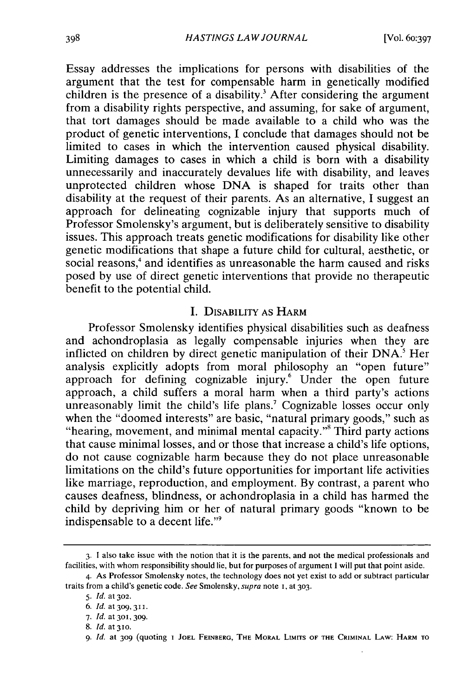Essay addresses the implications for persons with disabilities of the argument that the test for compensable harm in genetically modified children is the presence of a disability.<sup>3</sup> After considering the argument from a disability rights perspective, and assuming, for sake of argument, that tort damages should be made available to a child who was the product of genetic interventions, I conclude that damages should not be limited to cases in which the intervention caused physical disability. Limiting damages to cases in which a child is born with a disability unnecessarily and inaccurately devalues life with disability, and leaves unprotected children whose DNA is shaped for traits other than disability at the request of their parents. As an alternative, I suggest an approach for delineating cognizable injury that supports much of Professor Smolensky's argument, but is deliberately sensitive to disability issues. This approach treats genetic modifications for disability like other genetic modifications that shape a future child for cultural, aesthetic, or social reasons,<sup>4</sup> and identifies as unreasonable the harm caused and risks posed by use of direct genetic interventions that provide no therapeutic benefit to the potential child.

#### I. DISABILITY AS HARM

Professor Smolensky identifies physical disabilities such as deafness and achondroplasia as legally compensable injuries when they are inflicted on children by direct genetic manipulation of their **DNA.'** Her analysis explicitly adopts from moral philosophy an "open future" approach for defining cognizable injury.<sup>6</sup> Under the open future approach, a child suffers a moral harm when a third party's actions unreasonably limit the child's life plans.<sup>7</sup> Cognizable losses occur only when the "doomed interests" are basic, "natural primary goods," such as "hearing, movement, and minimal mental capacity."<sup>8</sup> Third party actions that cause minimal losses, and or those that increase a child's life options, do not cause cognizable harm because they do not place unreasonable limitations on the child's future opportunities for important life activities like marriage, reproduction, and employment. By contrast, a parent who causes deafness, blindness, or achondroplasia in a child has harmed the child by depriving him or her of natural primary goods "known to be indispensable to a decent life."9

<sup>3.</sup> **1** also take issue with the notion that it is the parents, and not the medical professionals and facilities, with whom responsibility should lie, but for purposes of argument I will put that point aside.

<sup>4.</sup> As Professor Smolensky notes, the technology does not yet exist to add or subtract particular traits from a child's genetic code. *See* Smolensky, supra note I, at **303.**

*<sup>5.</sup> Id.* at **302.**

*<sup>6.</sup> Id.* at **309,311.**

<sup>7.</sup> *Id.* at **3o, 309.**

*<sup>8.</sup> Id.* at **310.**

*<sup>9.</sup> Id.* at **309** (quoting **I JOEL** FEINBERG, THE MORAL LIMITs **OF** THE CRIMINAL LAW: HARM **TO**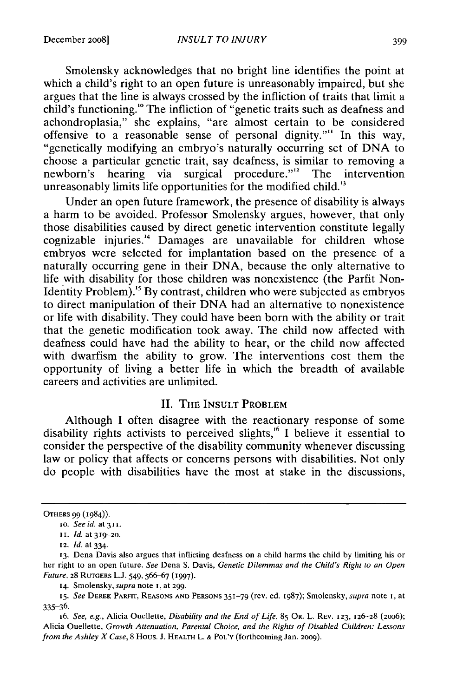Smolensky acknowledges that no bright line identifies the point at which a child's right to an open future is unreasonably impaired, but she argues that the line is always crossed by the infliction of traits that limit a child's functioning.'" The infliction of "genetic traits such as deafness and achondroplasia," she explains, "are almost certain to be considered offensive to a reasonable sense of personal dignity."" In this way, "genetically modifying an embryo's naturally occurring set of DNA to choose a particular genetic trait, say deafness, is similar to removing a newborn's hearing via surgical procedure."<sup>12</sup> The intervention unreasonably limits life opportunities for the modified child.<sup>13</sup>

Under an open future framework, the presence of disability is always a harm to be avoided. Professor Smolensky argues, however, that only those disabilities caused by direct genetic intervention constitute legally cognizable injuries."' Damages are unavailable for children whose embryos were selected for implantation based on the presence of a naturally occurring gene in their DNA, because the only alternative to life with disability for those children was nonexistence (the Parfit Non-Identity Problem).'5 By contrast, children who were subjected as embryos to direct manipulation of their DNA had an alternative to nonexistence or life with disability. They could have been born with the ability or trait that the genetic modification took away. The child now affected with deafness could have had the ability to hear, or the child now affected with dwarfism the ability to grow. The interventions cost them the opportunity of living a better life in which the breadth of available careers and activities are unlimited.

# **II.** THE INSULT PROBLEM

Although I often disagree with the reactionary response of some disability rights activists to perceived slights,<sup>16</sup> I believe it essential to consider the perspective of the disability community whenever discussing law or policy that affects or concerns persons with disabilities. Not only do people with disabilities have the most at stake in the discussions,

**14.** Smolensky, *supra* note 1, at 299.

OTHERS 99 (1984)).

to. *Seeid. at311.*

ii. *Id.* **at 319-2o.**

<sup>12.</sup> *Id.* **at** 334.

**<sup>13.</sup>** Dena Davis also argues that inflicting deafness on a child harms **the** child **by** limiting **his** or **her right** to an open future. *See* Dena S. Davis, Genetic Dilemmas and the Child's Right *to an Open* Future, **28** RUTGERS L.J. 549,566-67 **(1997).**

*<sup>15.</sup>* See DEREK PARFIT, **REASONS AND** PERSONS 351-79 (rev. ed. 1987); Smolensky, *supra* note i, at **335-36.**

<sup>16.</sup> *See,* e.g., Alicia Ouellette, Disability and *the* End of *Life,* **85 OR.** L. REV. **123, 126-28** (2006); Alicia Ouellette, Growth Attenuation, Parental Choice, and the Rights of Disabled Children: Lessons *from the Ashley X Case,* **8** Hous. **J.** HEALTH L. **&** POL'Y (forthcoming Jan. 2009).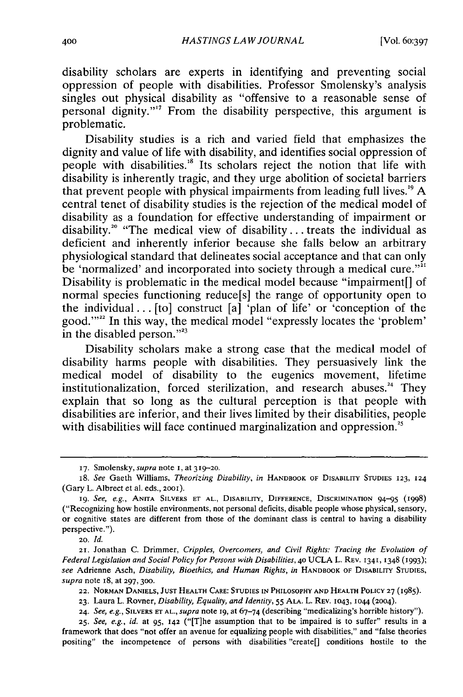disability scholars are experts in identifying and preventing social oppression of people with disabilities. Professor Smolensky's analysis singles out physical disability as "offensive to a reasonable sense of personal dignity."<sup>17</sup> From the disability perspective, this argument is problematic.

Disability studies is a rich and varied field that emphasizes the dignity and value of life with disability, and identifies social oppression of people with disabilities.<sup>18</sup> Its scholars reject the notion that life with disability is inherently tragic, and they urge abolition of societal barriers that prevent people with physical impairments from leading full lives.'9 A central tenet of disability studies is the rejection of the medical model of disability as a foundation for effective understanding of impairment or disability." "The medical view of disability.., treats the individual as deficient and inherently inferior because she falls below an arbitrary physiological standard that delineates social acceptance and that can only be 'normalized' and incorporated into society through a medical cure."<sup>31</sup> Disability is problematic in the medical model because "impairment[] of normal species functioning reduce[s] the range of opportunity open to the individual... [to] construct [a] 'plan of life' or 'conception of the good."<sup>22</sup> In this way, the medical model "expressly locates the 'problem' in the disabled person."<sup>23</sup>

Disability scholars make a strong case that the medical model of disability harms people with disabilities. They persuasively link the medical model of disability to the eugenics movement, lifetime institutionalization, forced sterilization, and research abuses.<sup>24</sup> They explain that so long as the cultural perception is that people with disabilities are inferior, and their lives limited by their disabilities, people with disabilities will face continued marginalization and oppression.<sup>25</sup>

20. *Id.*

**21.** Jonathan C. Drimmer, *Cripples, Overcomers, and Civil Rights: Tracing the Evolution of Federal Legislation and Social Policy for Persons with Disabilities,* **40** UCLA L. REV. 1341, 1348 (I993); *see* Adrienne Asch, *Disability, Bioethics, and Human Rights, in* HANDBOOK OF DISABILnTY **STUDIES,** *supra* note I8, at **297, 300.**

**22. NORMAN DANIELS, JUST** HEALTH **CARE: STUDIES IN** PHILOSOPHY **AND** HEALTH POLICY **27** (1985).

**23.** Laura L. Rovner, *Disability, Equality, and Identity,* 55 **ALA.** L. REV. 1043, 1044 (2004).

**<sup>17.</sup>** Smolensky, *supra* note **i,** at **319-20.**

*<sup>18.</sup> See* Gaeth Williams, *Theorizing Disability, in* HANDBOOK OF **DISABILITY STUDIES 123, 124** (Gary L. Albrect et al. eds., 2ooi).

**<sup>19.</sup>** *See, e.g.,* **ANITA** SILVERS **ET AL., DISABILITY,** DIFFERENCE, DISCRIMINATION 94-95 (1998) ("Recognizing how hostile environments, not personal deficits, disable people whose physical, sensory, or cognitive states are different from those of the dominant class is central to having a disability perspective.").

**<sup>24.</sup>** *See, e.g.,* **SILVERS ET AL.,** *supra* note **i9,** at 67-74 (describing "medicalizing's horrible history").

**<sup>25.</sup>** *See, e.g., id.* at **95, 142** ("[T]he assumption that to be impaired is to suffer" results in a framework that does "not offer an avenue for equalizing people with disabilities," and "false theories positing" the incompetence of persons with disabilities "create[] conditions hostile to the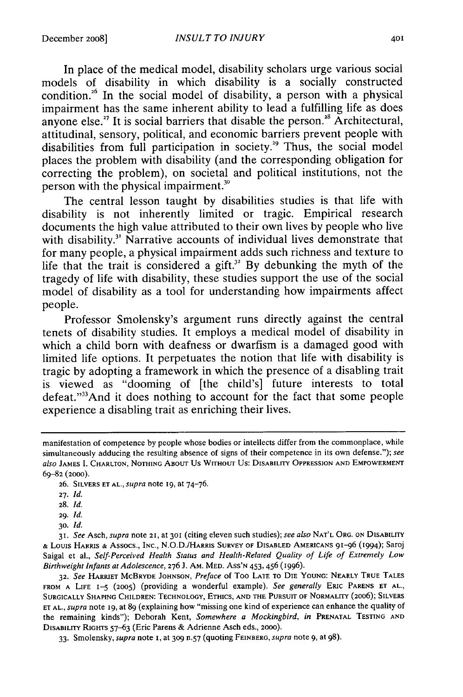In place of the medical model, disability scholars urge various social models of disability in which disability is a socially constructed condition.<sup>26</sup> In the social model of disability, a person with a physical impairment has the same inherent ability to lead a fulfilling life as does anyone else.<sup>27</sup> It is social barriers that disable the person.<sup>28</sup> Architectural, attitudinal, sensory, political, and economic barriers prevent people with disabilities from full participation in society.<sup>29</sup> Thus, the social model places the problem with disability (and the corresponding obligation for correcting the problem), on societal and political institutions, not the person with the physical impairment."

The central lesson taught by disabilities studies is that life with disability is not inherently limited or tragic. Empirical research documents the high value attributed to their own lives by people who live with disability.<sup>31</sup> Narrative accounts of individual lives demonstrate that for many people, a physical impairment adds such richness and texture to life that the trait is considered a gift.<sup>32</sup> By debunking the myth of the tragedy of life with disability, these studies support the use of the social model of disability as a tool for understanding how impairments affect people.

Professor Smolensky's argument runs directly against the central tenets of disability studies. It employs a medical model of disability in which a child born with deafness or dwarfism is a damaged good with limited life options. It perpetuates the notion that life with disability is tragic by adopting a framework in which the presence of a disabling trait is viewed as "dooming of [the child's] future interests to total defeat."33 And it does nothing to account for the fact that some people experience a disabling trait as enriching their lives.

- **27.** *Id.*
- **28.** *Id.*

**29.** *Id.*

**30.** *Id.*

**32.** *See* **HARRIET** McBRYDE **JOHNSON,** *Preface* of Too **LATE** TO **DIE YOUNG:** NEARLY TRUE **TALES FROM A** LIFE 1-5 **(2005)** (providing a wonderful example). *See generally* ERIc **PARENS ET AL., SURGICALLY** SHAPING CHILDREN: **TECHNOLOGY,** ETHICS, **AND** THE **PURSUIT** OF NORMALITY (2006); SILVERS **ET AL.,** *supra* note **I9,** at 89 (explaining how "missing one kind of experience can enhance the quality of the remaining kinds"); Deborah Kent, *Somewhere a Mockingbird, in* PRENATAL TESTING **AND** DISABILITY **RIGHTS** 57-63 (Eric Parens & Adrienne Asch eds., 2000).

33. Smolensky, *supra* note **1,** at **309** n.57 (quoting FEINBERG, *supra* note **9,** at 98).

manifestation of competence **by** people whose bodies or intellects differ from the commonplace, while simultaneously adducing the resulting absence of signs of their competence in its own defense."); *see also* **JAMES** I. CHARLTON, **NOTHING** ABOUT Us WITHOUT Us: DISABILITY **OPPRESSION AND** EMPOWERMENT **69-82** (2000).

**<sup>26.</sup>** SILVERS **ET AL.,** *supra* note **19, at** 74-76.

<sup>31.</sup> *See* Asch, *supra* note **21,** at **301** (citing eleven such studies); *see also* **NAT'L** ORG. **ON** DISABILrrY **&** LOUIS HARRIS **&** Assocs., **INC.,** N.O.D./HARRIS SURVEY OF **DISABLED AMERICANS** 9i-96 (1994); Saroj Saigal et al., *Self-Perceived Health Status and Health-Related Quality of Life of Extremely Low Birthweight Infants at Adolescence,* **276** J. AM. MED. ASS'N 453, 456 (1996).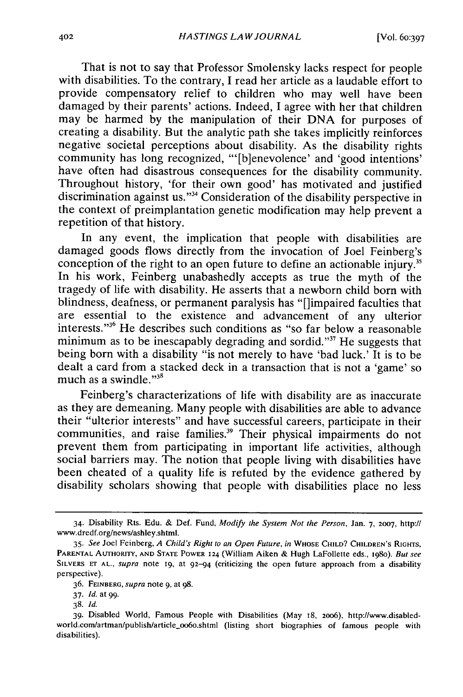That is not to say that Professor Smolensky lacks respect for people with disabilities. To the contrary, I read her article as a laudable effort to provide compensatory relief to children who may well have been damaged by their parents' actions. Indeed, I agree with her that children may be harmed by the manipulation of their DNA for purposes of creating a disability. But the analytic path she takes implicitly reinforces negative societal perceptions about disability. As the disability rights community has long recognized, "'[b]enevolence' and 'good intentions' have often had disastrous consequences for the disability community. Throughout history, 'for their own good' has motivated and justified discrimination against us."34 Consideration of the disability perspective in the context of preimplantation genetic modification may help prevent a repetition of that history.

In any event, the implication that people with disabilities are damaged goods flows directly from the invocation of Joel Feinberg's conception of the right to an open future to define an actionable injury.<sup>35</sup> In his work, Feinberg unabashedly accepts as true the myth of the tragedy of life with disability. He asserts that a newborn child born with blindness, deafness, or permanent paralysis has "[]impaired faculties that are essential to the existence and advancement of any ulterior interests. ' , 36 He describes such conditions as "so far below a reasonable minimum as to be inescapably degrading and sordid."<sup>37</sup> He suggests that being born with a disability "is not merely to have 'bad luck.' It is to be dealt a card from a stacked deck in a transaction that is not a 'game' so much as a swindle." $3<sup>8</sup>$ 

Feinberg's characterizations of life with disability are as inaccurate as they are demeaning. Many people with disabilities are able to advance their "ulterior interests" and have successful careers, participate in their communities, and raise families.<sup>39</sup> Their physical impairments do not prevent them from participating in important life activities, although social barriers may. The notion that people living with disabilities have been cheated of a quality life is refuted by the evidence gathered by disability scholars showing that people with disabilities place no less

<sup>34.</sup> Disability Rts. Edu. **&** Def. Fund, Modify the System Not the Person, Jan. 7, **2007,** http:// www.dredf.org/news/ashley.shtml.

*<sup>35.</sup> See* Joel Feinberg, *A* Child's Right *to* an Open Future, in WHOSE **CHILD?** CHILDREN'S RIGHTS, PARENTAL AUTHORITY, **AND STATE** POWER **124** (William Aiken & Hugh LaFollette eds., i98o). But see SILVERS **ET AL.,** supra note **19,** at 92-94 (criticizing the open future approach from a disability perspective).

<sup>36.</sup> FEINBERG, supra note 9, at 98.

**<sup>37.</sup>** *Id.* at 99.

<sup>38.</sup> **Id.**

<sup>39.</sup> Disabled World, Famous People with Disabilities (May i8, **2006),** http://www.disabledworld.com/artman/publish/article\_oo6o.shtml (listing short biographies of famous people with disabilities).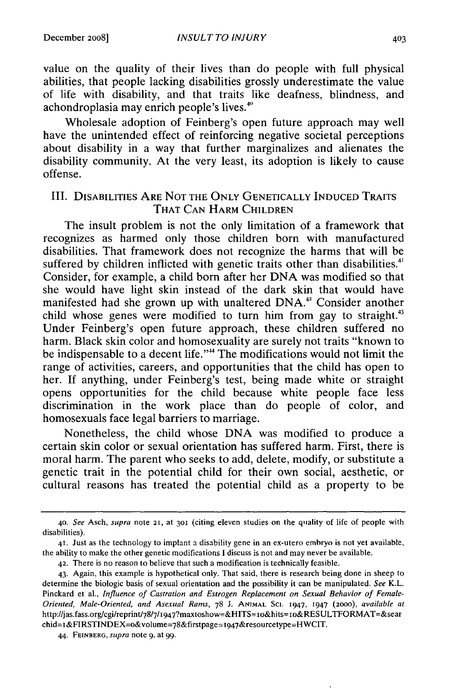value on the quality of their lives than do people with full physical abilities, that people lacking disabilities grossly underestimate the value of life with disability, and that traits like deafness, blindness, and achondroplasia may enrich people's lives.<sup>40</sup>

Wholesale adoption of Feinberg's open future approach may well have the unintended effect of reinforcing negative societal perceptions about disability in a way that further marginalizes and alienates the disability community. At the very least, its adoption is likely to cause offense.

#### III. DISABILITIES ARE **NOT** THE **ONLY GENETICALLY INDUCED** TRAITS THAT **CAN** HARM CHILDREN

The insult problem is not the only limitation of a framework that recognizes as harmed only those children born with manufactured disabilities. That framework does not recognize the harms that will be suffered by children inflicted with genetic traits other than disabilities.<sup>41</sup> Consider, for example, a child born after her DNA was modified so that she would have light skin instead of the dark skin that would have manifested had she grown up with unaltered DNA.<sup>42</sup> Consider another child whose genes were modified to turn him from gay to straight. Under Feinberg's open future approach, these children suffered no harm. Black skin color and homosexuality are surely not traits "known to be indispensable to a decent life."<sup>44</sup> The modifications would not limit the range of activities, careers, and opportunities that the child has open to her. If anything, under Feinberg's test, being made white or straight opens opportunities for the child because white people face less discrimination in the work place than do people of color, and homosexuals face legal barriers to marriage.

Nonetheless, the child whose DNA was modified to produce a certain skin color or sexual orientation has suffered harm. First, there is moral harm. The parent who seeks to add, delete, modify, or substitute a genetic trait in the potential child for their own social, aesthetic, or cultural reasons has treated the potential child as a property to be

<sup>40.</sup> See Asch, supra note **21,** at **301** (citing eleven studies on the quality of life of people with disabilities).

<sup>41.</sup> Just as the technology to implant a disability gene in an ex-utero embryo is not yet available, the ability to make the other genetic modifications I discuss is not and may never be available.

<sup>42.</sup> There is no reason to believe that such a modification is technically feasible.

<sup>43.</sup> Again, this example is hypothetical only. That said, there is research being done in sheep to determine the biologic basis of sexual orientation and the possibility it can be manipulated. *See* K.L. Pinckard et al., *Influence of Castration and Estrogen Replacement on Sexual Behavior of Female-Oriented, Male-Oriented, and Asexual Rams,* 78 J. **ANIMAL** SC. 1947, 1947 (20OO), *available at* http://jas.fass.org/cgi/reprint/78/7/I947?maxtoshow=&HITS=io&hits=io&RESULTFORMAT=&sear chid=1&FIRSTINDEX=0&volume=78&firstpage=1947&resourcetype=HWCIT.

<sup>44.</sup> FEINBERG, supra note **9,** at 99.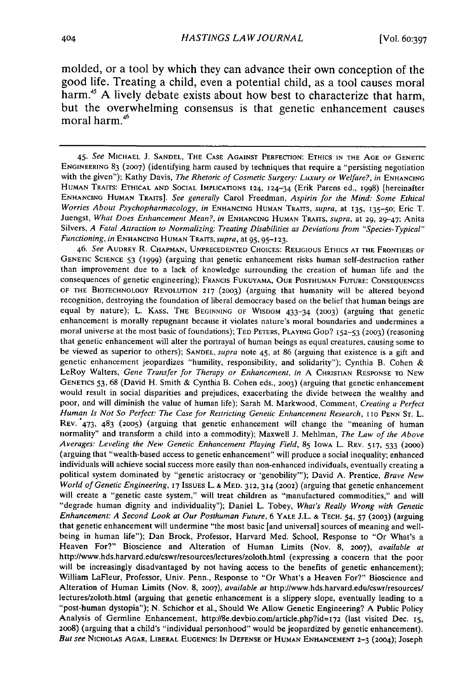molded, or a tool **by** which they can advance their own conception of the good life. Treating a child, even a potential child, as a tool causes moral harm.45 **A** lively debate exists about how best to characterize that harm, but the overwhelming consensus is that genetic enhancement causes moral harm.<sup>46</sup>

46. *See* **AUDREY** R. **CHAPMAN, UNPRECEDENTED CHOICES:** RELIGIOUS ETHICS **AT** THE FRONTIERS OF GENETIC **SCIENCE** 53 (1999) (arguing that genetic enhancement risks human self-destruction rather than improvement due to a lack of knowledge surrounding the creation of human life and the consequences of genetic engineering); FRANCIS **FUKUYAMA,** OUR **POSTHUMAN FUTURE: CONSEQUENCES OF** THE BIOTECHNOLOGY **REVOLUTION 217 (2003)** (arguing that humanity will be altered beyond recognition, destroying the foundation of liberal democracy based on the belief that human beings are equal by nature); L. **KAss,** THE **BEGINNING** OF WISDOM 433-34 **(2003)** (arguing that genetic enhancement is morally repugnant because it violates nature's moral boundaries and undermines a moral universe at the most basic of foundations); **TED** PETERS, PLAYING **GOD?** 152-53 **(2003)** (reasoning that genetic enhancement will alter the portrayal of human beings as equal creatures, causing some to be viewed as superior to others); **SANDEL,** supra note 45, at 86 (arguing that existence is a gift and genetic enhancement jeopardizes "humility, responsibility, and solidarity"); Cynthia B. Cohen & LeRoy Walters, *Gene Transfer for Therapy or Enhancement, in* A **CHRISTIAN RESPONSE** TO **NEW** GENETICS 53, 68 (David H. Smith & Cynthia B. Cohen eds., **2003)** (arguing that genetic enhancement would result in social disparities and prejudices, exacerbating the divide between the wealthy and poor, and will diminish the value of human life); Sarah M. Markwood, Comment, *Creating a Perfect Human Is Not So Perfect: The Case for Restricting Genetic Enhancement Research,* **110 PENN** ST. L. REV. °473, 483 **(2005)** (arguing that genetic enhancement will change the "meaning of human normality" and transform a child into a commodity); Maxwell J. Mehlman, *The Law of the Above Averages: Leveling the New Genetic Enhancement Playing Field,* **85** IOWA L. REV. 517, 533 (2000) (arguing that "wealth-based access to genetic enhancement" will produce a social inequality; enhanced individuals will achieve social success more easily than non-enhanced individuals, eventually creating a political system dominated by "genetic aristocracy or 'genobility"'); David A. Prentice, *Brave New World of Genetic Engineering,* **17** ISSUES L. **&** MED. 312, 314 (2002) (arguing that genetic enhancement will create a "genetic caste system," will treat children as "manufactured commodities," and will "degrade human dignity and individuality"); Daniel L. Tobey, *What's Really Wrong with Genetic Enhancement: A Second Look at Our Posthuman Future,* 6 YALE J.L. **& TECH.** 54, 57 **(2003)** (arguing that genetic enhancement will undermine "the most basic [and universal] sources of meaning and wellbeing in human life"); Dan Brock, Professor, Harvard Med. School, Response to "Or What's a Heaven For?" Bioscience and Alteration of Human Limits (Nov. 8, **2007),** *available at* http://www.hds.harvard.edu/cswr/resourceslectures/zoloth.html (expressing a concern that the poor will be increasingly disadvantaged by not having access to the benefits of genetic enhancement); William LaFleur, Professor, Univ. Penn., Response to "Or What's a Heaven For?" Bioscience and Alteration of Human Limits (Nov. 8, **2007),** *available at* http://www.hds.harvard.edu/cswr/resources/ lectures/zoloth.html (arguing that genetic enhancement is a slippery slope, eventually leading to a "post-human dystopia"); N. Schichor et al., Should We Allow Genetic Engineering? A Public Policy Analysis of Germline Enhancement, http://8e.devbio.com/article.php?id=172 (last visited Dec. 15, **2008)** (arguing that a child's "individual personhood" would be jeopardized by genetic enhancement). *But see* NICHOLAS **AGAR,** LIBERAL **EUGENICS:** IN **DEFENSE OF HUMAN ENHANCEMENT 2-3** (2004); Joseph

*<sup>45.</sup> See* MICHAEL **J. SANDEL,** THE **CASE AGAINST** PERFECTION: **ETHICS IN** THE **AGE** OF **GENETIC ENGINEERING** 83 **(2007)** (identifying harm caused by techniques that require a "persisting negotiation with the given"); Kathy Davis, *The Rhetoric of* Cosmetic Surgery: Luxury *or Welfare?, in* **ENHANCING HUMAN** TRAITS: **ETHICAL AND SOCIAL IMPLICATIONS** 124, 124-34 (Erik Parens ed., 1998) [hereinafter **ENHANCING HUMAN** TRAITS]. *See generally* Carol Freedman, *Aspirin for the Mind: Some Ethical Worries About Psychopharmacology, in* **ENHANCING HUMAN** TRAITS, *supra,* at 135, 135-50; Eric T. Juengst, *What Does Enhancement Mean?, in* **ENHANCING HUMAN** TRAITS, *supra,* at 29, 29-47: Anita Silvers, *A Fatal Attraction to Normalizing: Treating Disabilities as Deviations from "Species-Typical" Functioning, in* **ENHANCING HUMAN** TRAITS, *supra,* at 95, **95-123.**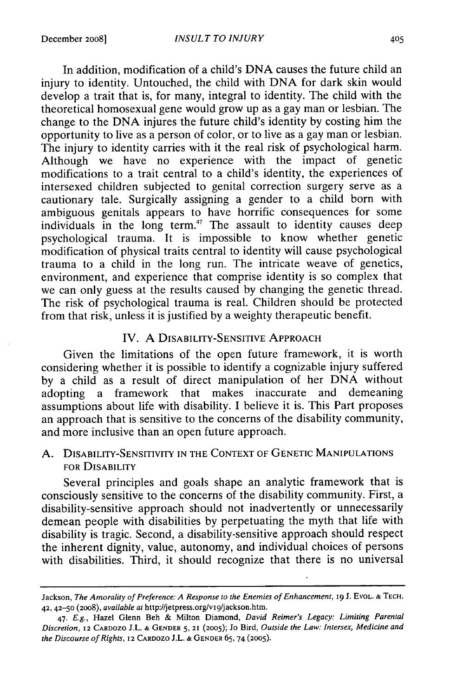In addition, modification of a child's DNA causes the future child an injury to identity. Untouched, the child with DNA for dark skin would develop a trait that is, for many, integral to identity. The child with the theoretical homosexual gene would grow up as a gay man or lesbian. The change to the DNA injures the future child's identity by costing him the opportunity to live as a person of color, or to live as a gay man or lesbian. The injury to identity carries with it the real risk of psychological harm. Although we have no experience with the impact of genetic modifications to a trait central to a child's identity, the experiences of intersexed children subjected to genital correction surgery serve as a cautionary tale. Surgically assigning a gender to a child born with ambiguous genitals appears to have horrific consequences for some individuals in the long term.<sup>47</sup> The assault to identity causes deep psychological trauma. It is impossible to know whether genetic modification of physical traits central to identity will cause psychological trauma to a child in the long run. The intricate weave of genetics, environment, and experience that comprise identity is so complex that we can only guess at the results caused by changing the genetic thread. The risk of psychological trauma is real. Children should be protected from that risk, unless it is justified by a weighty therapeutic benefit.

## IV. A **DISABILITY-SENSITIVE** APPROACH

Given the limitations of the open future framework, it is worth considering whether it is possible to identify a cognizable injury suffered by a child as a result of direct manipulation of her DNA without adopting a framework that makes inaccurate and demeaning assumptions about life with disability. I believe it is. This Part proposes an approach that is sensitive to the concerns of the disability community, and more inclusive than an open future approach.

## A. DISABILITY-SENSITIVITY **IN THE CONTEXT OF GENETIC MANIPULATIONS** FOR DISABILITY

Several principles and goals shape an analytic framework that is consciously sensitive to the concerns of the disability community. First, a disability-sensitive approach should not inadvertently or unnecessarily demean people with disabilities by perpetuating the myth that life with disability is tragic. Second, a disability-sensitive approach should respect the inherent dignity, value, autonomy, and individual choices of persons with disabilities. Third, it should recognize that there is no universal

Jackson, *The Amorality of Preference: A Response to the Enemies of Enhancement,* **19 J.** EVOL. **& TECH.** 42, 42-50 (2oo8), available at http://jetpress.org/vi9/jackson.htm.

<sup>47.</sup> *E.g.,* Hazel Glenn Beh & Milton Diamond, *David Reimer's Legacy: Limiting Parental Discretion,* 12 CARDOZO **J.L. & GENDER** 5, **21 (2005);** Jo Bird, *Outside the Law: Intersex, Medicine and the Discourse of Rights,* 12 CARDOZO **J.L. & GENDER 65,** 74 (2005).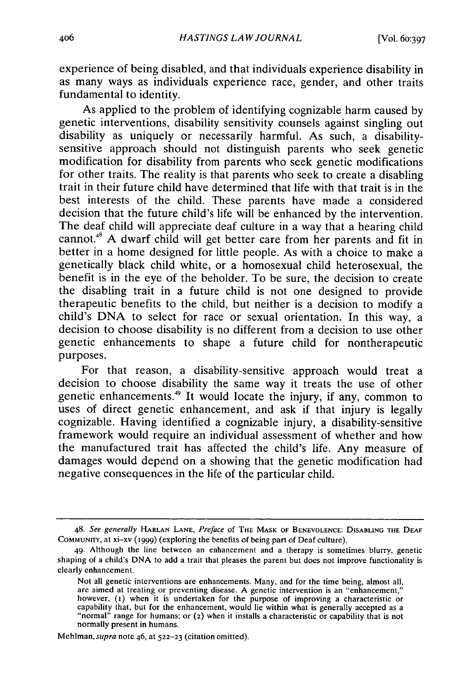experience of being disabled, and that individuals experience disability in as many ways as individuals experience race, gender, and other traits fundamental to identity.

As applied to the problem of identifying cognizable harm caused by genetic interventions, disability sensitivity counsels against singling out disability as uniquely or necessarily harmful. As such, a disabilitysensitive approach should not distinguish parents who seek genetic modification for disability from parents who seek genetic modifications for other traits. The reality is that parents who seek to create a disabling trait in their future child have determined that life with that trait is in the best interests of the child. These parents have made a considered decision that the future child's life will be enhanced by the intervention. The deaf child will appreciate deaf culture in a way that a hearing child cannot.45 A dwarf child will get better care from her parents and fit in better in a home designed for little people. As with a choice to make a genetically black child white, or a homosexual child heterosexual, the benefit is in the eye of the beholder. To be sure, the decision to create the disabling trait in a future child is not one designed to provide therapeutic benefits to the child, but neither is a decision to modify a child's DNA to select for race or sexual orientation. In this way, a decision to choose disability is no different from a decision to use other genetic enhancements to shape a future child for nontherapeutic purposes.

For that reason, a disability-sensitive approach would treat a decision to choose disability the same way it treats the use of other genetic enhancements.49 It would locate the injury, if any, common to uses of direct genetic enhancement, and ask if that injury is legally cognizable. Having identified a cognizable injury, a disability-sensitive framework would require an individual assessment of whether and how the manufactured trait has affected the child's life. Any measure of damages would depend on a showing that the genetic modification had negative consequences in the life of the particular child.

Mehlman, *supra* note 46, at **522-23** (citation omitted).

<sup>48.</sup> *See generally* **HARLAN LANE,** *Preface* of **THE** MASK OF BENEVOLENCE: DISABLING THE **DEAF COMMUNITY,** at xi-xv (1999) (exploring the benefits of being part of Deaf culture).

<sup>49.</sup> Although the line between an enhancement and a therapy is sometimes blurry, genetic shaping of a child's DNA to add a trait that pleases the parent but does not improve functionality is clearly enhancement.

Not all genetic interventions are enhancements. Many, and for the time being, almost all, are aimed at treating or preventing disease. A genetic intervention is an "enhancement,"<br>however, (1) when it is undertaken for the purpose of improving a characteristic or<br>capability that, but for the enhancement, would normally present in humans.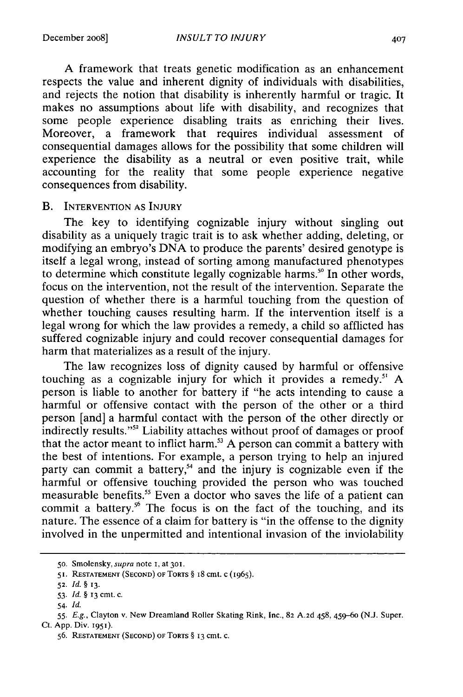A framework that treats genetic modification as an enhancement respects the value and inherent dignity of individuals with disabilities, and rejects the notion that disability is inherently harmful or tragic. It makes no assumptions about life with disability, and recognizes that some people experience disabling traits as enriching their lives. Moreover, a framework that requires individual assessment of consequential damages allows for the possibility that some children will experience the disability as a neutral or even positive trait, while accounting for the reality that some people experience negative consequences from disability.

#### B. INTERVENTION **AS INJURY**

The key to identifying cognizable injury without singling out disability as a uniquely tragic trait is to ask whether adding, deleting, or modifying an embryo's DNA to produce the parents' desired genotype is itself a legal wrong, instead of sorting among manufactured phenotypes to determine which constitute legally cognizable harms." In other words, focus on the intervention, not the result of the intervention. Separate the question of whether there is a harmful touching from the question of whether touching causes resulting harm. If the intervention itself is a legal wrong for which the law provides a remedy, a child so afflicted has suffered cognizable injury and could recover consequential damages for harm that materializes as a result of the injury.

The law recognizes loss of dignity caused by harmful or offensive touching as a cognizable injury for which it provides a remedy." A person is liable to another for battery if "he acts intending to cause a harmful or offensive contact with the person of the other or a third person [and] a harmful contact with the person of the other directly or indirectly results."52 Liability attaches without proof of damages or proof that the actor meant to inflict harm.<sup>33</sup> A person can commit a battery with the best of intentions. For example, a person trying to help an injured party can commit a battery,<sup>54</sup> and the injury is cognizable even if the harmful or offensive touching provided the person who was touched measurable benefits.<sup>55</sup> Even a doctor who saves the life of a patient can commit a battery.<sup>56</sup> The focus is on the fact of the touching, and its nature. The essence of a claim for battery is "in the offense to the dignity involved in the unpermitted and intentional invasion of the inviolability

**<sup>50.</sup>** Smolensky, supra note **I,** at **301.**

<sup>51.</sup> RESTATEMENT **(SECOND)** OF TORTS § i8 cmt. c (1965).

**<sup>52.</sup>** *Id. §* **13.**

<sup>53.</sup> *Id.* § 13 cmt. c.

<sup>54.</sup> *Id.*

<sup>55.</sup> *E.g.,* Clayton v. New Dreamland Roller Skating Rink, Inc., 82 A.2d 458, 459-60 **(N.J.** Super. Ct. App. Div. 1951).

<sup>56.</sup> **RESTATEMENT (SECOND) OF TORTS** § **13 cmt.** c.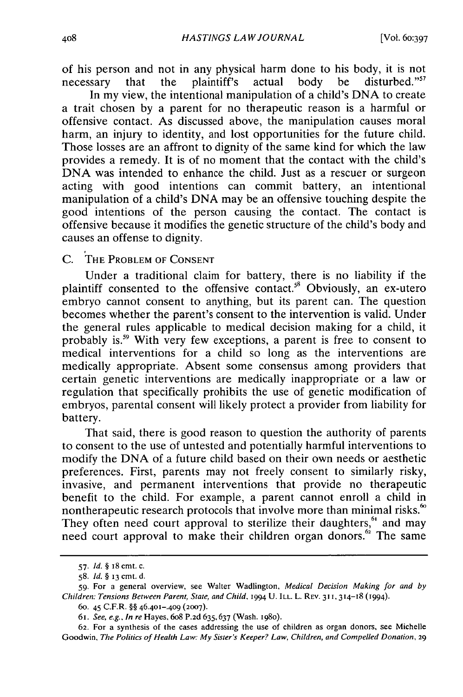of his person and not in any physical harm done to his body, it is not necessary that the plaintiff's actual body be disturbed."<sup>57</sup>

In my view, the intentional manipulation of a child's DNA to create a trait chosen by a parent for no therapeutic reason is a harmful or offensive contact. As discussed above, the manipulation causes moral harm, an injury to identity, and lost opportunities for the future child. Those losses are an affront to dignity of the same kind for which the law provides a remedy. It is of no moment that the contact with the child's DNA was intended to enhance the child. Just as a rescuer or surgeon acting with good intentions can commit battery, an intentional manipulation of a child's DNA may be an offensive touching despite the good intentions of the person causing the contact. The contact is offensive because it modifies the genetic structure of the child's body and causes an offense to dignity.

C. THE PROBLEM OF CONSENT

Under a traditional claim for battery, there is no liability if the plaintiff consented to the offensive contact.<sup>58</sup> Obviously, an ex-utero embryo cannot consent to anything, but its parent can. The question becomes whether the parent's consent to the intervention is valid. Under the general rules applicable to medical decision making for a child, it probably is.59 With very few exceptions, a parent is free to consent to medical interventions for a child so long as the interventions are medically appropriate. Absent some consensus among providers that certain genetic interventions are medically inappropriate or a law or regulation that specifically prohibits the use of genetic modification of embryos, parental consent will likely protect a provider from liability for battery.

That said, there is good reason to question the authority of parents to consent to the use of untested and potentially harmful interventions to modify the DNA of a future child based on their own needs or aesthetic preferences. First, parents may not freely consent to similarly risky, invasive, and permanent interventions that provide no therapeutic benefit to the child. For example, a parent cannot enroll a child in nontherapeutic research protocols that involve more than minimal risks.<sup>60</sup> They often need court approval to sterilize their daughters,  $61$  and may need court approval to make their children organ donors.<sup>62</sup> The same

<sup>57.</sup> Id. *§* 18 cmt. c.

<sup>58.</sup> Id. *§* **13** cmt. d.

<sup>59.</sup> For a general overview, see Walter Wadlington, Medical *Decision Making for* and by Children: Tensions Between Parent, State, and Child, 1994 U. ILL. L. REV. 311, 314-18 (1994).

**<sup>60.</sup>** 45 C.F.R. §§ **46.401-.409 (2007).**

*<sup>6</sup>I.* See, e.g., In re Hayes, 6o8 P.2d 635,637 (Wash. **198o).**

**<sup>62.</sup>** For a synthesis of the cases addressing the use of children as organ donors, see Michelle Goodwin, The Politics of Health Law: My Sister's Keeper? Law, Children, and Compelled Donation, 29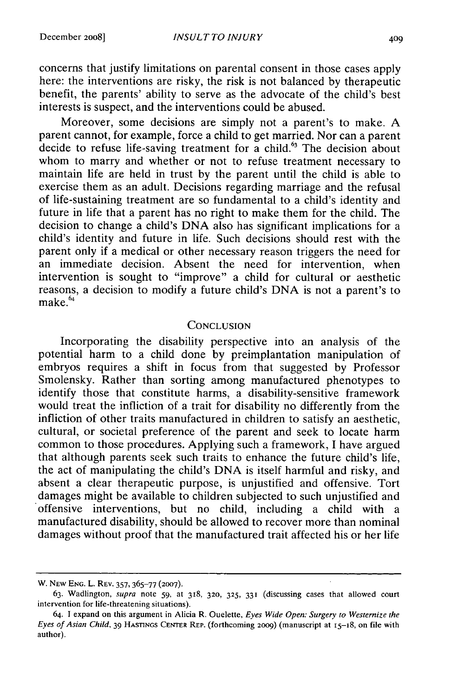concerns that justify limitations on parental consent in those cases apply here: the interventions are risky, the risk is not balanced by therapeutic benefit, the parents' ability to serve as the advocate of the child's best interests is suspect, and the interventions could be abused.

Moreover, some decisions are simply not a parent's to make. A parent cannot, for example, force a child to get married. Nor can a parent decide to refuse life-saving treatment for a child.<sup>63</sup> The decision about whom to marry and whether or not to refuse treatment necessary to maintain life are held in trust by the parent until the child is able to exercise them as an adult. Decisions regarding marriage and the refusal of life-sustaining treatment are so fundamental to a child's identity and future in life that a parent has no right to make them for the child. The decision to change a child's DNA also has significant implications for a child's identity and future in life. Such decisions should rest with the parent only if a medical or other necessary reason triggers the need for an immediate decision. Absent the need for intervention, when intervention is sought to "improve" a child for cultural or aesthetic reasons, a decision to modify a future child's DNA is not a parent's to  $make.$ <sup>64</sup>

#### **CONCLUSION**

Incorporating the disability perspective into an analysis of the potential harm to a child done by preimplantation manipulation of embryos requires a shift in focus from that suggested by Professor Smolensky. Rather than sorting among manufactured phenotypes to identify those that constitute harms, a disability-sensitive framework would treat the infliction of a trait for disability no differently from the infliction of other traits manufactured in children to satisfy an aesthetic, cultural, or societal preference of the parent and seek to locate harm common to those procedures. Applying such a framework, I have argued that although parents seek such traits to enhance the future child's life, the act of manipulating the child's DNA is itself harmful and risky, and absent a clear therapeutic purpose, is unjustified and offensive. Tort damages might be available to children subjected to such unjustified and offensive interventions, but no child, including a child with a manufactured disability, should be allowed to recover more than nominal damages without proof that the manufactured trait affected his or her life

W. NEW **ENG.** L. REV. 357, 365-77 **(2007).**

<sup>63.</sup> Wadlington, supra note 59, at 318, **320, 325, 331** (discussing cases that allowed court intervention for life-threatening situations).

<sup>64.</sup> **1** expand on this argument in Alicia R. Ouelette, *Eyes Wide Open: Surgery to Westernize the Eyes of Asian* Child. 39 **HASTINGS CENTER** REP. (forthcoming 2009) (manuscript at i5-18, on file with author).